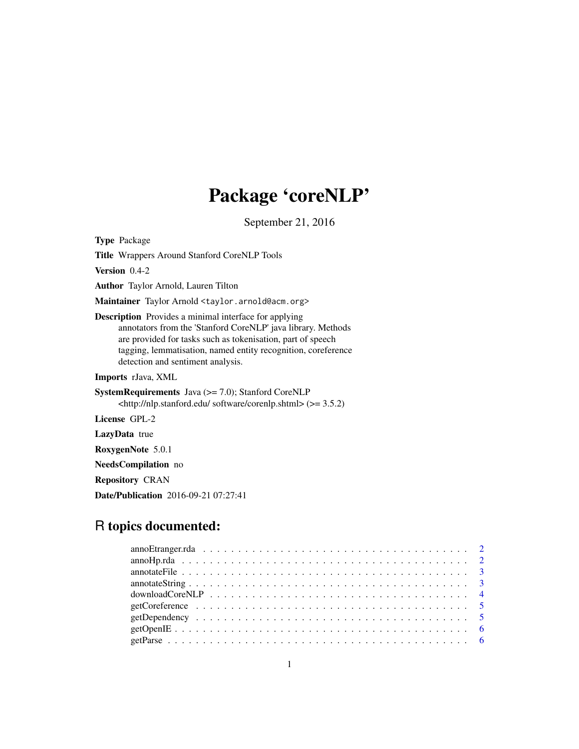## Package 'coreNLP'

September 21, 2016

Type Package Title Wrappers Around Stanford CoreNLP Tools Version 0.4-2 Author Taylor Arnold, Lauren Tilton Maintainer Taylor Arnold <taylor.arnold@acm.org> Description Provides a minimal interface for applying annotators from the 'Stanford CoreNLP' java library. Methods are provided for tasks such as tokenisation, part of speech tagging, lemmatisation, named entity recognition, coreference detection and sentiment analysis. Imports rJava, XML SystemRequirements Java (>= 7.0); Stanford CoreNLP <http://nlp.stanford.edu/ software/corenlp.shtml> (>= 3.5.2) License GPL-2 LazyData true RoxygenNote 5.0.1

NeedsCompilation no

Repository CRAN

Date/Publication 2016-09-21 07:27:41

### R topics documented:

| anno Etranger.rda $\ldots \ldots \ldots \ldots \ldots \ldots \ldots \ldots \ldots \ldots \ldots \ldots \ldots$ |  |
|----------------------------------------------------------------------------------------------------------------|--|
|                                                                                                                |  |
|                                                                                                                |  |
|                                                                                                                |  |
|                                                                                                                |  |
|                                                                                                                |  |
|                                                                                                                |  |
|                                                                                                                |  |
|                                                                                                                |  |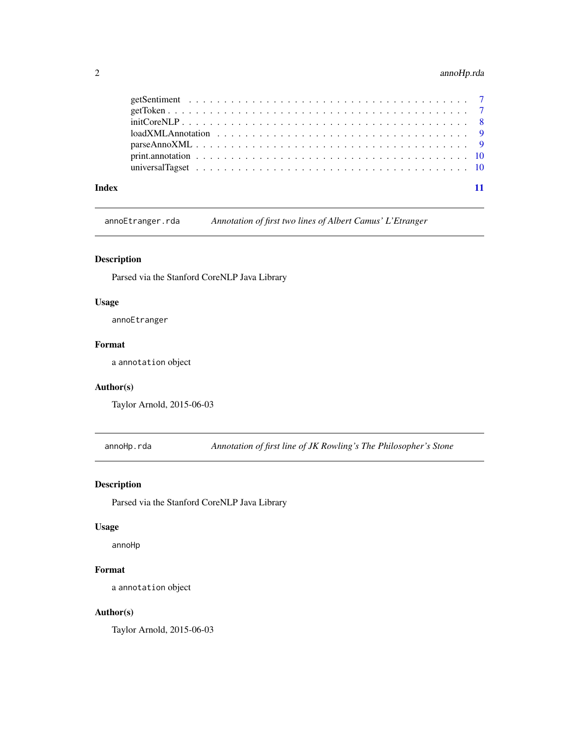#### <span id="page-1-0"></span>2 annoHp.rda

| Index |  |
|-------|--|

annoEtranger.rda *Annotation of first two lines of Albert Camus' L'Etranger*

#### Description

Parsed via the Stanford CoreNLP Java Library

#### Usage

annoEtranger

#### Format

a annotation object

#### Author(s)

Taylor Arnold, 2015-06-03

annoHp.rda *Annotation of first line of JK Rowling's The Philosopher's Stone*

#### Description

Parsed via the Stanford CoreNLP Java Library

#### Usage

annoHp

#### Format

a annotation object

#### Author(s)

Taylor Arnold, 2015-06-03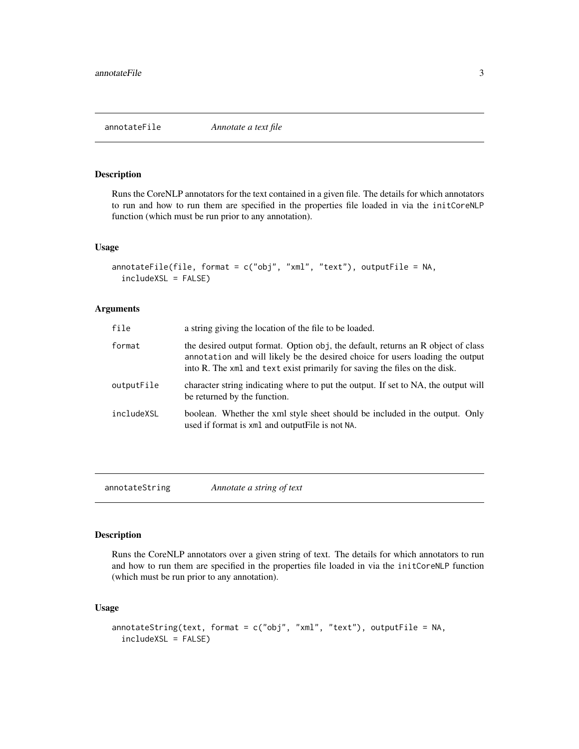#### <span id="page-2-0"></span>Description

Runs the CoreNLP annotators for the text contained in a given file. The details for which annotators to run and how to run them are specified in the properties file loaded in via the initCoreNLP function (which must be run prior to any annotation).

#### Usage

```
annotateFile(file, format = c("obj", "xml", "text"), outputFile = NA,includeXSL = FALSE)
```
#### Arguments

| file       | a string giving the location of the file to be loaded.                                                                                                                                                                                          |
|------------|-------------------------------------------------------------------------------------------------------------------------------------------------------------------------------------------------------------------------------------------------|
| format     | the desired output format. Option obj, the default, returns an R object of class<br>annotation and will likely be the desired choice for users loading the output<br>into R. The xml and text exist primarily for saving the files on the disk. |
| outputFile | character string indicating where to put the output. If set to NA, the output will<br>be returned by the function.                                                                                                                              |
| includeXSL | boolean. Whether the xml style sheet should be included in the output. Only<br>used if format is xml and output File is not NA.                                                                                                                 |

annotateString *Annotate a string of text*

#### Description

Runs the CoreNLP annotators over a given string of text. The details for which annotators to run and how to run them are specified in the properties file loaded in via the initCoreNLP function (which must be run prior to any annotation).

#### Usage

```
annotateString(text, format = c("obj", "xml", "text"), outputFile = NA,
  includeXSL = FALSE)
```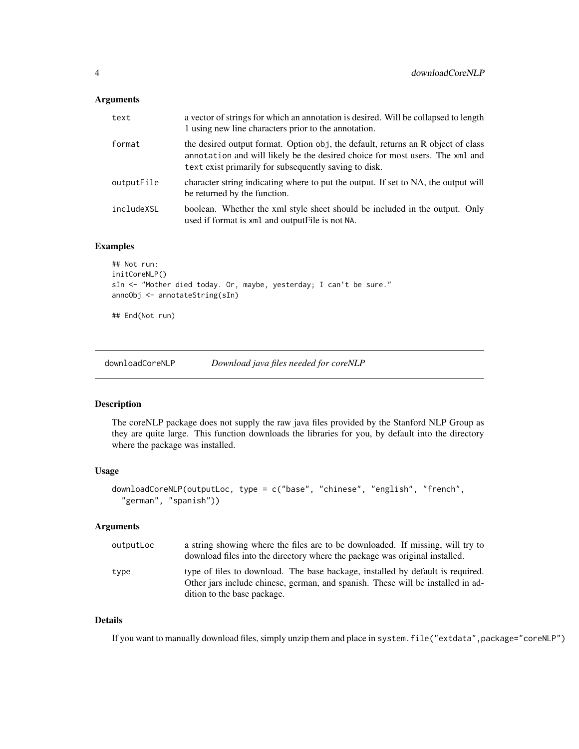#### <span id="page-3-0"></span>Arguments

| text       | a vector of strings for which an annotation is desired. Will be collapsed to length<br>1 using new line characters prior to the annotation.                                                                               |
|------------|---------------------------------------------------------------------------------------------------------------------------------------------------------------------------------------------------------------------------|
| format     | the desired output format. Option obj, the default, returns an R object of class<br>annotation and will likely be the desired choice for most users. The xml and<br>text exist primarily for subsequently saving to disk. |
| outputFile | character string indicating where to put the output. If set to NA, the output will<br>be returned by the function.                                                                                                        |
| includeXSL | boolean. Whether the xml style sheet should be included in the output. Only<br>used if format is xml and output File is not NA.                                                                                           |

#### Examples

```
## Not run:
initCoreNLP()
sIn <- "Mother died today. Or, maybe, yesterday; I can't be sure."
annoObj <- annotateString(sIn)
## End(Not run)
```
downloadCoreNLP *Download java files needed for coreNLP*

#### Description

The coreNLP package does not supply the raw java files provided by the Stanford NLP Group as they are quite large. This function downloads the libraries for you, by default into the directory where the package was installed.

#### Usage

```
downloadCoreNLP(outputLoc, type = c("base", "chinese", "english", "french",
  "german", "spanish"))
```
#### Arguments

| outputLoc | a string showing where the files are to be downloaded. If missing, will try to<br>download files into the directory where the package was original installed.                                    |
|-----------|--------------------------------------------------------------------------------------------------------------------------------------------------------------------------------------------------|
| type      | type of files to download. The base backage, installed by default is required.<br>Other jars include chinese, german, and spanish. These will be installed in ad-<br>dition to the base package. |

#### Details

If you want to manually download files, simply unzip them and place in system.file("extdata",package="coreNLP")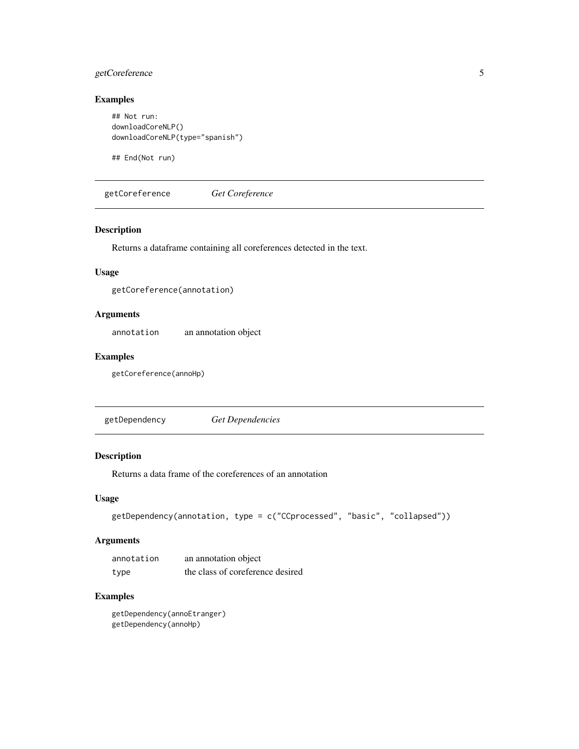#### <span id="page-4-0"></span>getCoreference 5

#### Examples

```
## Not run:
downloadCoreNLP()
downloadCoreNLP(type="spanish")
```
## End(Not run)

getCoreference *Get Coreference*

#### Description

Returns a dataframe containing all coreferences detected in the text.

#### Usage

getCoreference(annotation)

#### Arguments

annotation an annotation object

#### Examples

getCoreference(annoHp)

getDependency *Get Dependencies*

#### Description

Returns a data frame of the coreferences of an annotation

#### Usage

```
getDependency(annotation, type = c("CCprocessed", "basic", "collapsed"))
```
#### Arguments

| annotation | an annotation object             |
|------------|----------------------------------|
| type       | the class of coreference desired |

#### Examples

getDependency(annoEtranger) getDependency(annoHp)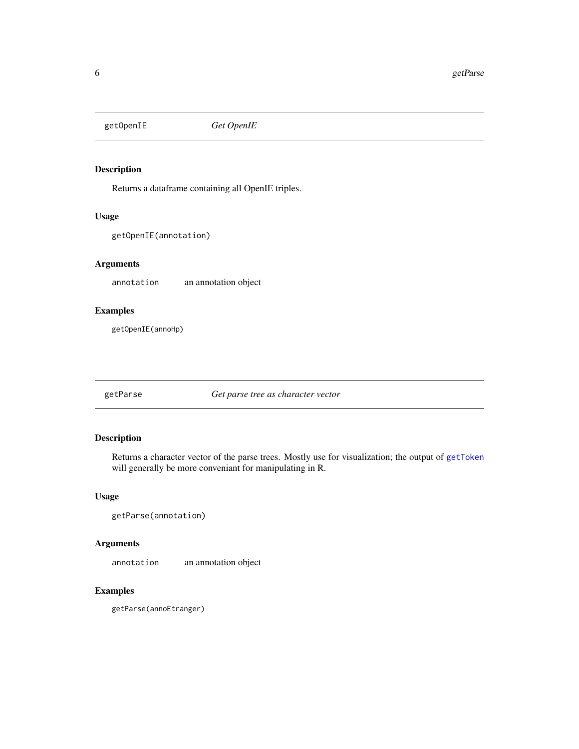<span id="page-5-0"></span>getOpenIE *Get OpenIE*

#### Description

Returns a dataframe containing all OpenIE triples.

#### Usage

getOpenIE(annotation)

#### Arguments

annotation an annotation object

#### Examples

getOpenIE(annoHp)

getParse *Get parse tree as character vector*

#### Description

Returns a character vector of the parse trees. Mostly use for visualization; the output of [getToken](#page-6-1) will generally be more conveniant for manipulating in R.

#### Usage

```
getParse(annotation)
```
#### Arguments

annotation an annotation object

#### Examples

getParse(annoEtranger)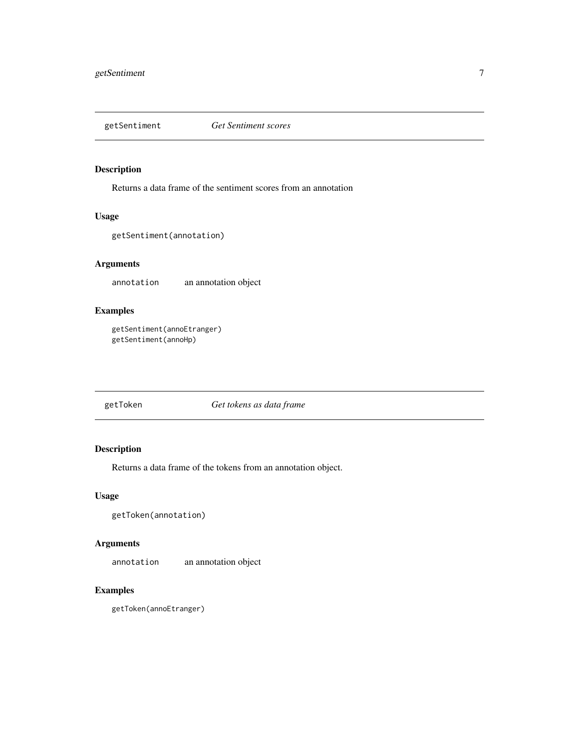<span id="page-6-0"></span>

#### Description

Returns a data frame of the sentiment scores from an annotation

#### Usage

getSentiment(annotation)

#### Arguments

annotation an annotation object

#### Examples

```
getSentiment(annoEtranger)
getSentiment(annoHp)
```
<span id="page-6-1"></span>getToken *Get tokens as data frame*

#### Description

Returns a data frame of the tokens from an annotation object.

#### Usage

```
getToken(annotation)
```
#### Arguments

annotation an annotation object

#### Examples

getToken(annoEtranger)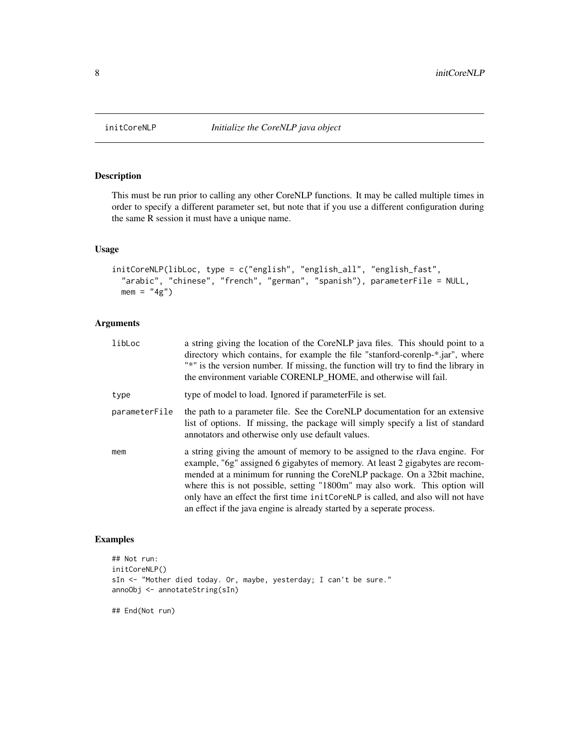#### Description

This must be run prior to calling any other CoreNLP functions. It may be called multiple times in order to specify a different parameter set, but note that if you use a different configuration during the same R session it must have a unique name.

#### Usage

```
initCoreNLP(libLoc, type = c("english", "english_all", "english_fast",
  "arabic", "chinese", "french", "german", "spanish"), parameterFile = NULL,
 mem = "4g")
```
#### Arguments

| libLoc        | a string giving the location of the CoreNLP java files. This should point to a<br>directory which contains, for example the file "stanford-corenlp-*.jar", where<br>"*" is the version number. If missing, the function will try to find the library in<br>the environment variable CORENLP_HOME, and otherwise will fail.                                                                                                                                                               |
|---------------|------------------------------------------------------------------------------------------------------------------------------------------------------------------------------------------------------------------------------------------------------------------------------------------------------------------------------------------------------------------------------------------------------------------------------------------------------------------------------------------|
| type          | type of model to load. Ignored if parameter File is set.                                                                                                                                                                                                                                                                                                                                                                                                                                 |
| parameterFile | the path to a parameter file. See the CoreNLP documentation for an extensive<br>list of options. If missing, the package will simply specify a list of standard<br>annotators and otherwise only use default values.                                                                                                                                                                                                                                                                     |
| mem           | a string giving the amount of memory to be assigned to the rJava engine. For<br>example, "6g" assigned 6 gigabytes of memory. At least 2 gigabytes are recom-<br>mended at a minimum for running the CoreNLP package. On a 32bit machine,<br>where this is not possible, setting "1800m" may also work. This option will<br>only have an effect the first time in it CoreNLP is called, and also will not have<br>an effect if the java engine is already started by a seperate process. |

#### Examples

```
## Not run:
initCoreNLP()
sIn <- "Mother died today. Or, maybe, yesterday; I can't be sure."
annoObj <- annotateString(sIn)
```
## End(Not run)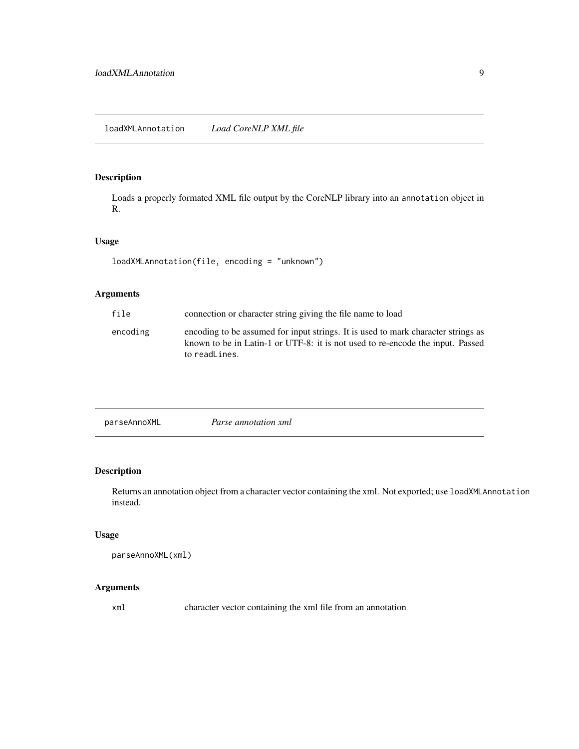<span id="page-8-0"></span>loadXMLAnnotation *Load CoreNLP XML file*

#### Description

Loads a properly formated XML file output by the CoreNLP library into an annotation object in R.

#### Usage

```
loadXMLAnnotation(file, encoding = "unknown")
```
#### Arguments

| file     | connection or character string giving the file name to load                                                                                                                          |
|----------|--------------------------------------------------------------------------------------------------------------------------------------------------------------------------------------|
| encoding | encoding to be assumed for input strings. It is used to mark character strings as<br>known to be in Latin-1 or UTF-8: it is not used to re-encode the input. Passed<br>to readLines. |

parseAnnoXML *Parse annotation xml*

#### Description

Returns an annotation object from a character vector containing the xml. Not exported; use loadXMLAnnotation instead.

#### Usage

parseAnnoXML(xml)

#### Arguments

xml character vector containing the xml file from an annotation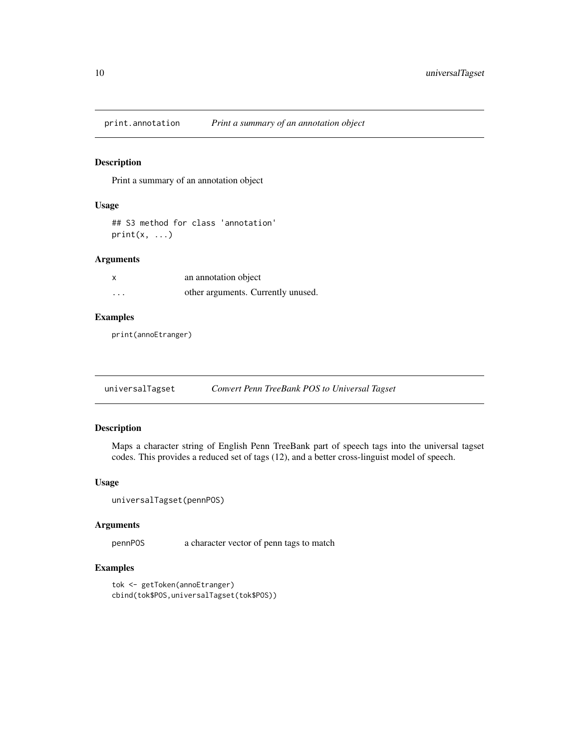<span id="page-9-0"></span>print.annotation *Print a summary of an annotation object*

#### Description

Print a summary of an annotation object

#### Usage

```
## S3 method for class 'annotation'
print(x, \ldots)
```
#### Arguments

| X        | an annotation object               |
|----------|------------------------------------|
| $\cdots$ | other arguments. Currently unused. |

#### Examples

print(annoEtranger)

#### Description

Maps a character string of English Penn TreeBank part of speech tags into the universal tagset codes. This provides a reduced set of tags (12), and a better cross-linguist model of speech.

#### Usage

universalTagset(pennPOS)

#### Arguments

pennPOS a character vector of penn tags to match

#### Examples

```
tok <- getToken(annoEtranger)
cbind(tok$POS,universalTagset(tok$POS))
```